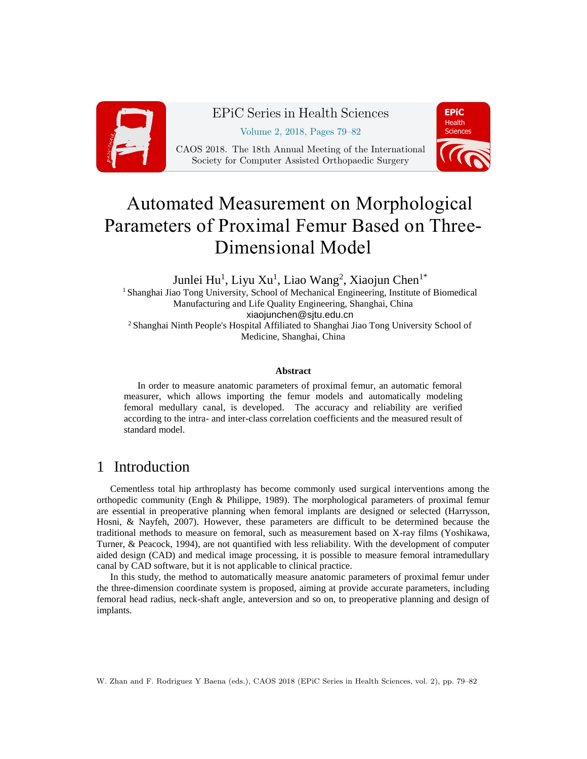

## EPiC Series in Health Sciences

Volume 2, 2018, Pages 79–82

CAOS 2018. The 18th Annual Meeting of the International Society for Computer Assisted Orthopaedic Surgery



# Automated Measurement on Morphological Parameters of Proximal Femur Based on Three-Dimensional Model

Junlei Hu<sup>1</sup>, Liyu Xu<sup>1</sup>, Liao Wang<sup>2</sup>, Xiaojun Chen<sup>1\*</sup> <sup>1</sup> Shanghai Jiao Tong University, School of Mechanical Engineering, Institute of Biomedical Manufacturing and Life Quality Engineering, Shanghai, China xiaojunchen@sjtu.edu.cn <sup>2</sup> Shanghai Ninth People's Hospital Affiliated to Shanghai Jiao Tong University School of Medicine, Shanghai, China

#### **Abstract**

In order to measure anatomic parameters of proximal femur, an automatic femoral measurer, which allows importing the femur models and automatically modeling femoral medullary canal, is developed. The accuracy and reliability are verified according to the intra- and inter-class correlation coefficients and the measured result of standard model.

### 1 Introduction

Cementless total hip arthroplasty has become commonly used surgical interventions among the orthopedic community (Engh & Philippe, 1989). The morphological parameters of proximal femur are essential in preoperative planning when femoral implants are designed or selected (Harrysson, Hosni, & Nayfeh, 2007). However, these parameters are difficult to be determined because the traditional methods to measure on femoral, such as measurement based on X-ray films (Yoshikawa, Turner, & Peacock, 1994), are not quantified with less reliability. With the development of computer aided design (CAD) and medical image processing, it is possible to measure femoral intramedullary canal by CAD software, but it is not applicable to clinical practice.

In this study, the method to automatically measure anatomic parameters of proximal femur under the three-dimension coordinate system is proposed, aiming at provide accurate parameters, including femoral head radius, neck-shaft angle, anteversion and so on, to preoperative planning and design of implants.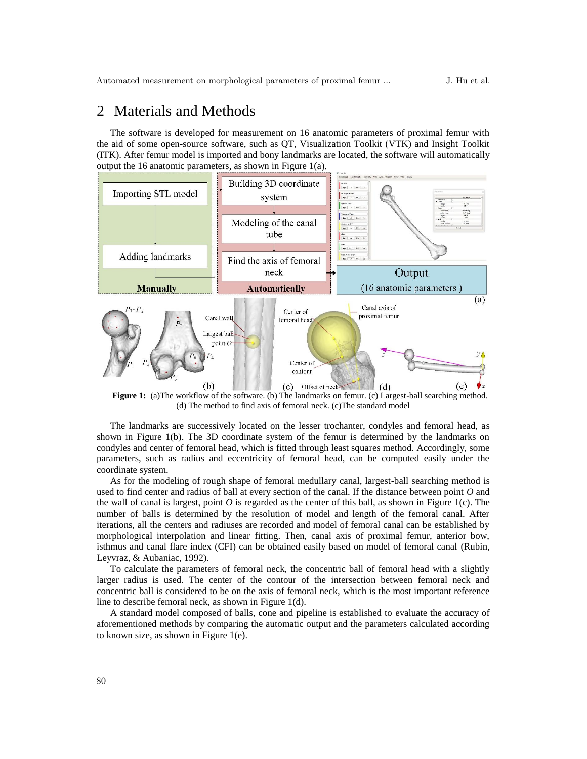#### 2 Materials and Methods

The software is developed for measurement on 16 anatomic parameters of proximal femur with the aid of some open-source software, such as QT, Visualization Toolkit (VTK) and Insight Toolkit (ITK). After femur model is imported and bony landmarks are located, the software will automatically output the 16 anatomic parameters, as shown in [Figure 1\(](#page-1-0)a).



<span id="page-1-0"></span>**Figure 1:** (a)The workflow of the software. (b) The landmarks on femur. (c) Largest-ball searching method. (d) The method to find axis of femoral neck. (c)The standard model

The landmarks are successively located on the lesser trochanter, condyles and femoral head, as shown in [Figure 1\(](#page-1-0)b). The 3D coordinate system of the femur is determined by the landmarks on condyles and center of femoral head, which is fitted through least squares method. Accordingly, some parameters, such as radius and eccentricity of femoral head, can be computed easily under the coordinate system.

As for the modeling of rough shape of femoral medullary canal, largest-ball searching method is used to find center and radius of ball at every section of the canal. If the distance between point *O* and the wall of canal is largest, point  $O$  is regarded as the center of this ball, as shown in [Figure 1\(](#page-1-0)c). The number of balls is determined by the resolution of model and length of the femoral canal. After iterations, all the centers and radiuses are recorded and model of femoral canal can be established by morphological interpolation and linear fitting. Then, canal axis of proximal femur, anterior bow, isthmus and canal flare index (CFI) can be obtained easily based on model of femoral canal (Rubin, Leyvraz, & Aubaniac, 1992).

To calculate the parameters of femoral neck, the concentric ball of femoral head with a slightly larger radius is used. The center of the contour of the intersection between femoral neck and concentric ball is considered to be on the axis of femoral neck, which is the most important reference line to describe femoral neck, as shown i[n Figure 1\(](#page-1-0)d).

A standard model composed of balls, cone and pipeline is established to evaluate the accuracy of aforementioned methods by comparing the automatic output and the parameters calculated according to known size, as shown in [Figure 1\(](#page-1-0)e).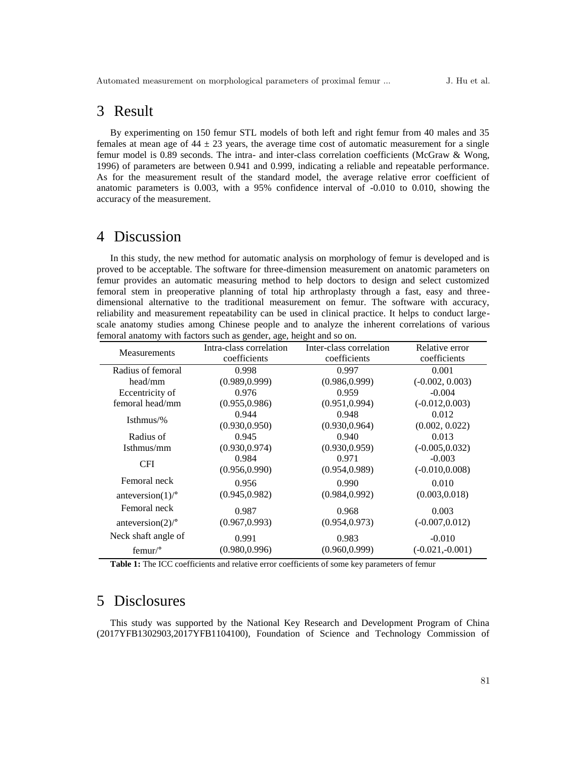#### 3 Result

By experimenting on 150 femur STL models of both left and right femur from 40 males and 35 females at mean age of  $44 \pm 23$  years, the average time cost of automatic measurement for a single femur model is 0.89 seconds. The intra- and inter-class correlation coefficients (McGraw & Wong, 1996) of parameters are between 0.941 and 0.999, indicating a reliable and repeatable performance. As for the measurement result of the standard model, the average relative error coefficient of anatomic parameters is 0.003, with a 95% confidence interval of -0.010 to 0.010, showing the accuracy of the measurement.

#### 4 Discussion

In this study, the new method for automatic analysis on morphology of femur is developed and is proved to be acceptable. The software for three-dimension measurement on anatomic parameters on femur provides an automatic measuring method to help doctors to design and select customized femoral stem in preoperative planning of total hip arthroplasty through a fast, easy and threedimensional alternative to the traditional measurement on femur. The software with accuracy, reliability and measurement repeatability can be used in clinical practice. It helps to conduct largescale anatomy studies among Chinese people and to analyze the inherent correlations of various femoral anatomy with factors such as gender, age, height and so on.

| <b>Measurements</b>            | Intra-class correlation | Inter-class correlation | Relative error    |
|--------------------------------|-------------------------|-------------------------|-------------------|
|                                | coefficients            | coefficients            | coefficients      |
| Radius of femoral              | 0.998                   | 0.997                   | 0.001             |
| head/mm                        | (0.989, 0.999)          | (0.986, 0.999)          | $(-0.002, 0.003)$ |
| Eccentricity of                | 0.976                   | 0.959                   | $-0.004$          |
| femoral head/mm                | (0.955, 0.986)          | (0.951, 0.994)          | $(-0.012, 0.003)$ |
| Isthmus/%                      | 0.944                   | 0.948                   | 0.012             |
|                                | (0.930, 0.950)          | (0.930, 0.964)          | (0.002, 0.022)    |
| Radius of                      | 0.945                   | 0.940                   | 0.013             |
| Isthmus/mm                     | (0.930, 0.974)          | (0.930, 0.959)          | $(-0.005, 0.032)$ |
| <b>CFI</b>                     | 0.984                   | 0.971                   | $-0.003$          |
|                                | (0.956, 0.990)          | (0.954, 0.989)          | $(-0.010, 0.008)$ |
| Femoral neck                   | 0.956                   | 0.990                   | 0.010             |
| anteversion $(1)$ <sup>o</sup> | (0.945, 0.982)          | (0.984, 0.992)          | (0.003, 0.018)    |
| Femoral neck                   | 0.987                   | 0.968                   | 0.003             |
| anteversion $(2)$ <sup>o</sup> | (0.967, 0.993)          | (0.954, 0.973)          | $(-0.007, 0.012)$ |
| Neck shaft angle of            | 0.991                   | 0.983                   | $-0.010$          |
| femur <sup>o</sup>             | (0.980, 0.996)          | (0.960, 0.999)          | $(-0.021,-0.001)$ |

**Table 1:** The ICC coefficients and relative error coefficients of some key parameters of femur

#### 5 Disclosures

This study was supported by the National Key Research and Development Program of China (2017YFB1302903,2017YFB1104100), Foundation of Science and Technology Commission of